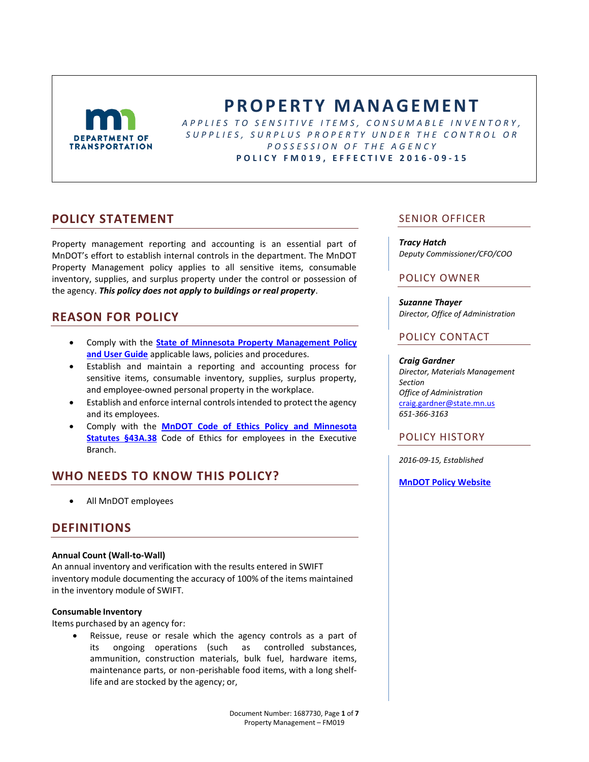

# **P R O P E R T Y M A N A G E M E N T**

*A P P L I E S T O S E N S I T I V E I T E M S , C O N S U M A B L E I N V E N T O R Y , S U P P L I E S , S U R P L U S P R O P E R T Y U N D E R T H E C O N T R O L O R P O S S E S S I O N O F T H E A G E N C Y* **P O L I C Y F M 0 1 9 , E F F E C T I V E 2016 - 0 9 - 1 5**

## **POLICY STATEMENT**

Property management reporting and accounting is an essential part of MnDOT's effort to establish internal controls in the department. The MnDOT Property Management policy applies to all sensitive items, consumable inventory, supplies, and surplus property under the control or possession of the agency. *This policy does not apply to buildings or real property*.

# **REASON FOR POLICY**

- Comply with the **[State of Minnesota Property Management Policy](http://mn.gov/admin/images/Surplus_PropertyManagementGuide_Complete.pdf)  [and User Guide](http://mn.gov/admin/images/Surplus_PropertyManagementGuide_Complete.pdf)** applicable laws, policies and procedures.
- Establish and maintain a reporting and accounting process for sensitive items, consumable inventory, supplies, surplus property, and employee-owned personal property in the workplace.
- Establish and enforce internal controls intended to protect the agency and its employees.
- Comply with the **[MnDOT Code of Ethics Policy](http://www.dot.state.mn.us/policy/hr/hr008.html) and [Minnesota](https://www.revisor.mn.gov/statutes/?id=43a.38)  [Statutes §43A.38](https://www.revisor.mn.gov/statutes/?id=43a.38)** Code of Ethics for employees in the Executive Branch.

# **WHO NEEDS TO KNOW THIS POLICY?**

All MnDOT employees

# **DEFINITIONS**

#### **Annual Count (Wall-to-Wall)**

An annual inventory and verification with the results entered in SWIFT inventory module documenting the accuracy of 100% of the items maintained in the inventory module of SWIFT.

#### **Consumable Inventory**

Items purchased by an agency for:

 Reissue, reuse or resale which the agency controls as a part of its ongoing operations (such as controlled substances, ammunition, construction materials, bulk fuel, hardware items, maintenance parts, or non-perishable food items, with a long shelflife and are stocked by the agency; or,

### SENIOR OFFICER

*Tracy Hatch Deputy Commissioner/CFO/COO*

### POLICY OWNER

*Suzanne Thayer Director, Office of Administration*

### POLICY CONTACT

#### *Craig Gardner*

*Director, Materials Management Section Office of Administration* [craig.gardner@state.mn.us](mailto:Craig.gardner@state.mn.us) *651-366-3163*

### POLICY HISTORY

*2016-09-15, Established*

**[MnDOT Policy Website](http://www.dot.state.mn.us/policy/index.html)**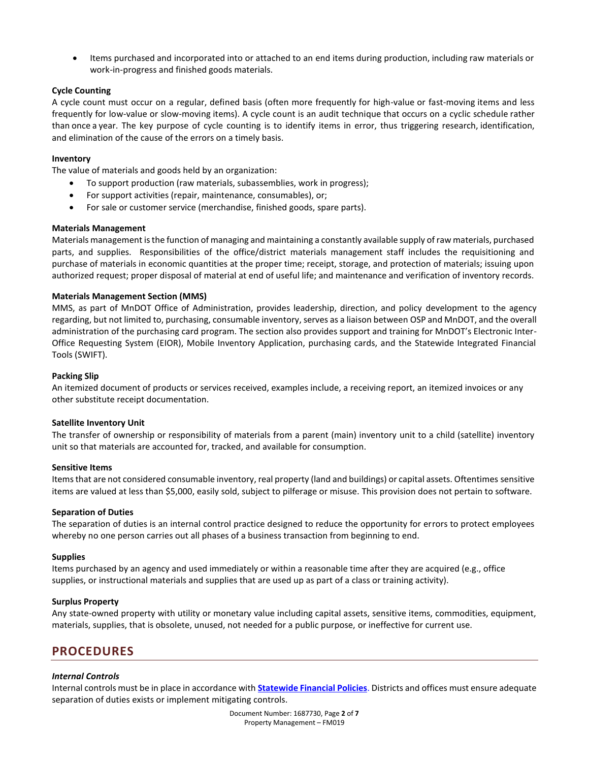Items purchased and incorporated into or attached to an end items during production, including raw materials or work-in-progress and finished goods materials.

#### **Cycle Counting**

A cycle count must occur on a regular, defined basis (often more frequently for high-value or fast-moving items and less frequently for low-value or slow-moving items). A cycle count is an audit technique that occurs on a cyclic schedule rather than once a year. The key purpose of cycle counting is to identify items in error, thus triggering research, identification, and elimination of the cause of the errors on a timely basis.

#### **Inventory**

The value of materials and goods held by an organization:

- To support production (raw materials, subassemblies, work in progress);
- For support activities (repair, maintenance, consumables), or;
- For sale or customer service (merchandise, finished goods, spare parts).

#### **Materials Management**

Materials management is the function of managing and maintaining a constantly available supply of raw materials, purchased parts, and supplies. Responsibilities of the office/district materials management staff includes the requisitioning and purchase of materials in economic quantities at the proper time; receipt, storage, and protection of materials; issuing upon authorized request; proper disposal of material at end of useful life; and maintenance and verification of inventory records.

#### **Materials Management Section (MMS)**

MMS, as part of MnDOT Office of Administration, provides leadership, direction, and policy development to the agency regarding, but not limited to, purchasing, consumable inventory, serves as a liaison between OSP and MnDOT, and the overall administration of the purchasing card program. The section also provides support and training for MnDOT's Electronic Inter-Office Requesting System (EIOR), Mobile Inventory Application, purchasing cards, and the Statewide Integrated Financial Tools (SWIFT).

#### **Packing Slip**

An itemized document of products or services received, examples include, a receiving report, an itemized invoices or any other substitute receipt documentation.

#### **Satellite Inventory Unit**

The transfer of ownership or responsibility of materials from a parent (main) inventory unit to a child (satellite) inventory unit so that materials are accounted for, tracked, and available for consumption.

#### **Sensitive Items**

Items that are not considered consumable inventory, real property (land and buildings) or capital assets. Oftentimes sensitive items are valued at less than \$5,000, easily sold, subject to pilferage or misuse. This provision does not pertain to software.

#### **Separation of Duties**

The separation of duties is an internal control practice designed to reduce the opportunity for errors to protect employees whereby no one person carries out all phases of a business transaction from beginning to end.

#### **Supplies**

Items purchased by an agency and used immediately or within a reasonable time after they are acquired (e.g., office supplies, or instructional materials and supplies that are used up as part of a class or training activity).

#### **Surplus Property**

Any state-owned property with utility or monetary value including capital assets, sensitive items, commodities, equipment, materials, supplies, that is obsolete, unused, not needed for a public purpose, or ineffective for current use.

### **PROCEDURES**

#### *Internal Controls*

Internal controls must be in place in accordance with **[Statewide Financial Policies](http://mn.gov/mmb/accounting/state-financial-policies/)**. Districts and offices must ensure adequate separation of duties exists or implement mitigating controls.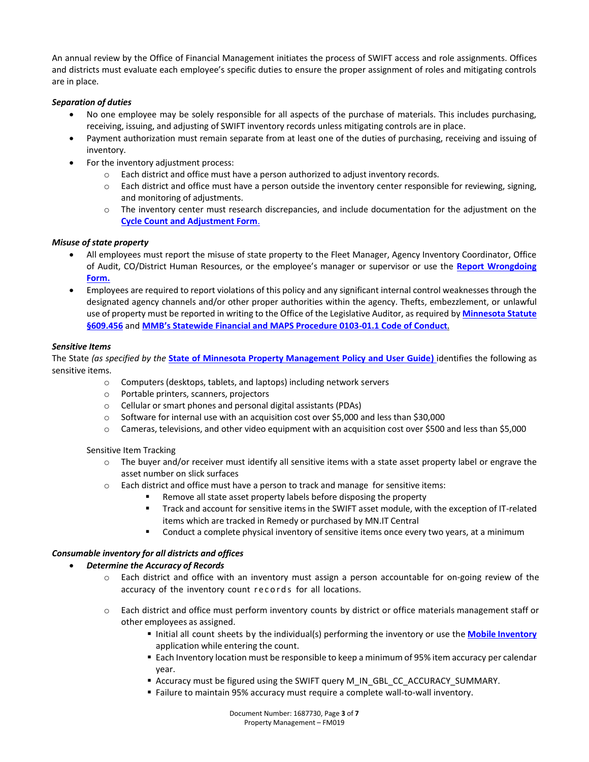An annual review by the Office of Financial Management initiates the process of SWIFT access and role assignments. Offices and districts must evaluate each employee's specific duties to ensure the proper assignment of roles and mitigating controls are in place.

#### *Separation of duties*

- No one employee may be solely responsible for all aspects of the purchase of materials. This includes purchasing, receiving, issuing, and adjusting of SWIFT inventory records unless mitigating controls are in place.
- Payment authorization must remain separate from at least one of the duties of purchasing, receiving and issuing of inventory.
- For the inventory adjustment process:
	- o Each district and office must have a person authorized to adjust inventory records.
	- o Each district and office must have a person outside the inventory center responsible for reviewing, signing, and monitoring of adjustments.
	- o The inventory center must research discrepancies, and include documentation for the adjustment on the **[Cycle Count and Adjustment Form](http://dotapp7.dot.state.mn.us/cyberdocs_guest/quickstart.asp?show=view:1588025&noframes=yes)**.

#### *Misuse of state property*

- All employees must report the misuse of state property to the Fleet Manager, Agency Inventory Coordinator, Office of Audit, CO/District Human Resources, or the employee's manager or supervisor or use the **[Report Wrongdoing](http://ihub/audit/report_wrongdoing_form.php)  [Form.](http://ihub/audit/report_wrongdoing_form.php)**
- Employees are required to report violations of this policy and any significant internal control weaknesses through the designated agency channels and/or other proper authorities within the agency. Thefts, embezzlement, or unlawful use of property must be reported in writing to the Office of the Legislative Auditor, as required by **[Minnesota Statute](https://www.revisor.mn.gov/statutes/?id=609.456)  [§609.456](https://www.revisor.mn.gov/statutes/?id=609.456)** and **[MMB's Statewide Financial and MAPS Procedure 0103](http://mn.gov/mmb-stat/documents/accounting/fin-policies/chapter-1/0103-01-code-of-conduct-policy.pdf)-01.1 Code of Conduct**.

#### *Sensitive Items*

The State *(as specified by the* **[State of Minnesota Property Management Policy and User Guide\)](http://mn.gov/admin/images/Surplus_PropertyManagementGuide_Complete.pdf)** identifies the following as sensitive items.

- o Computers (desktops, tablets, and laptops) including network servers
- o Portable printers, scanners, projectors
- o Cellular or smart phones and personal digital assistants (PDAs)
- o Software for internal use with an acquisition cost over \$5,000 and less than \$30,000
- o Cameras, televisions, and other video equipment with an acquisition cost over \$500 and less than \$5,000

#### Sensitive Item Tracking

- $\circ$  The buyer and/or receiver must identify all sensitive items with a state asset property label or engrave the asset number on slick surfaces
- $\circ$  Each district and office must have a person to track and manage for sensitive items:
	- Remove all state asset property labels before disposing the property
	- Track and account for sensitive items in the SWIFT asset module, with the exception of IT-related items which are tracked in Remedy or purchased by MN.IT Central
	- **Conduct a complete physical inventory of sensitive items once every two years, at a minimum**

#### *Consumable inventory for all districts and offices*

#### *Determine the Accuracy of Records*

- o Each district and office with an inventory must assign a person accountable for on-going review of the accuracy of the inventory count records for all locations.
- o Each district and office must perform inventory counts by district or office materials management staff or other employees as assigned.
	- **Initial all count sheets by the individual(s) performing the inventory or use the Mobile [Inventory](http://ihub.dot.state.mn.us/transwift/trn_inv_.html)** application while entering the count.
	- Each Inventory location must be responsible to keep a minimum of 95% item accuracy per calendar year.
	- Accuracy must be figured using the SWIFT query M\_IN\_GBL\_CC\_ACCURACY\_SUMMARY.
	- Failure to maintain 95% accuracy must require a complete wall-to-wall inventory.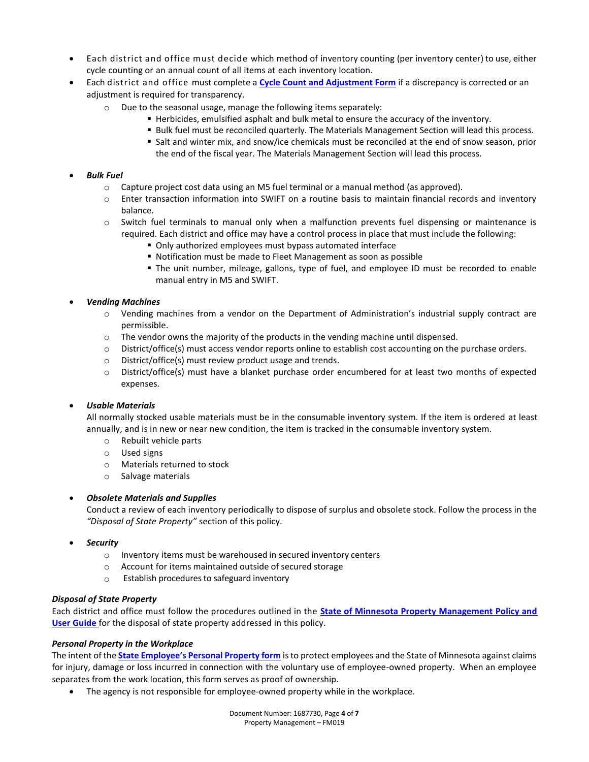- Each district and office must decide which method of inventory counting (per inventory center) to use, either cycle counting or an annual count of all items at each inventory location.
- Each district and office must complete a **[Cycle Count and Adjustment Form](http://dotapp7.dot.state.mn.us/cyberdocs_guest/quickstart.asp?show=view:1588025&noframes=yes)** if a discrepancy is corrected or an adjustment is required for transparency.
	- o Due to the seasonal usage, manage the following items separately:
		- Herbicides, emulsified asphalt and bulk metal to ensure the accuracy of the inventory.
		- Bulk fuel must be reconciled quarterly. The Materials Management Section will lead this process.
		- Salt and winter mix, and snow/ice chemicals must be reconciled at the end of snow season, prior the end of the fiscal year. The Materials Management Section will lead this process.

### *Bulk Fuel*

- $\circ$  Capture project cost data using an M5 fuel terminal or a manual method (as approved).
- o Enter transaction information into SWIFT on a routine basis to maintain financial records and inventory balance.
- o Switch fuel terminals to manual only when a malfunction prevents fuel dispensing or maintenance is required. Each district and office may have a control process in place that must include the following:
	- Only authorized employees must bypass automated interface
	- Notification must be made to Fleet Management as soon as possible
	- The unit number, mileage, gallons, type of fuel, and employee ID must be recorded to enable manual entry in M5 and SWIFT.

#### *Vending Machines*

- o Vending machines from a vendor on the Department of Administration's industrial supply contract are permissible.
- $\circ$  The vendor owns the majority of the products in the vending machine until dispensed.
- o District/office(s) must access vendor reports online to establish cost accounting on the purchase orders.
- o District/office(s) must review product usage and trends.
- $\circ$  District/office(s) must have a blanket purchase order encumbered for at least two months of expected expenses.

### *Usable Materials*

All normally stocked usable materials must be in the consumable inventory system. If the item is ordered at least annually, and is in new or near new condition, the item is tracked in the consumable inventory system.

- o Rebuilt vehicle parts
- o Used signs
- o Materials returned to stock
- o Salvage materials

### *Obsolete Materials and Supplies*

Conduct a review of each inventory periodically to dispose of surplus and obsolete stock. Follow the process in the *"Disposal of State Property"* section of this policy.

- *Security*
	- o Inventory items must be warehoused in secured inventory centers
	- $\circ$  Account for items maintained outside of secured storage
	- o Establish procedures to safeguard inventory

#### *Disposal of State Property*

Each district and office must follow the procedures outlined in the **[State of Minnesota Property Management Policy and](http://mn.gov/admin/images/Surplus_PropertyManagementGuide_Complete.pdf)  [User Guide](http://mn.gov/admin/images/Surplus_PropertyManagementGuide_Complete.pdf)** for the disposal of state property addressed in this policy.

#### *Personal Property in the Workplace*

The intent of the **[State Employee's Personal Property form](http://mn.gov/admin/images/Surplus_StateEmployeePersonalProperty_Form.pdf)** is to protect employees and the State of Minnesota against claims for injury, damage or loss incurred in connection with the voluntary use of employee-owned property. When an employee separates from the work location, this form serves as proof of ownership.

The agency is not responsible for employee-owned property while in the workplace.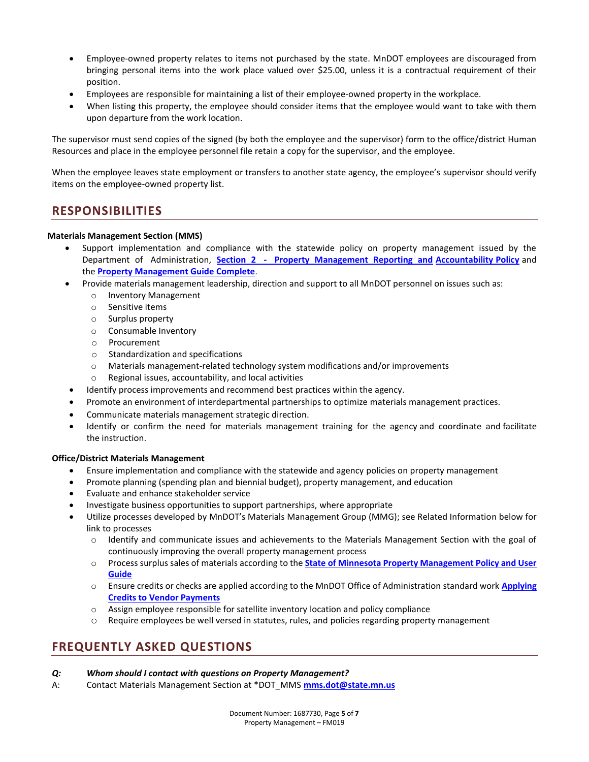- Employee-owned property relates to items not purchased by the state. MnDOT employees are discouraged from bringing personal items into the work place valued over \$25.00, unless it is a contractual requirement of their position.
- Employees are responsible for maintaining a list of their employee-owned property in the workplace.
- When listing this property, the employee should consider items that the employee would want to take with them upon departure from the work location.

The supervisor must send copies of the signed (by both the employee and the supervisor) form to the office/district Human Resources and place in the employee personnel file retain a copy for the supervisor, and the employee.

When the employee leaves state employment or transfers to another state agency, the employee's supervisor should verify items on the employee-owned property list.

# **RESPONSIBILITIES**

#### **Materials Management Section (MMS)**

- Support implementation and compliance with the statewide policy on property management issued by the Department of Administration, **Section 2 - Property Management Reporting and Accountability Policy** and the **Property Management Guide Complete**.
- Provide materials management leadership, direction and support to all MnDOT personnel on issues such as:
	- o Inventory Management
	- o Sensitive items
	- o Surplus property
	- o Consumable Inventory
	- o Procurement
	- o Standardization and specifications
	- o Materials management-related technology system modifications and/or improvements
	- o Regional issues, accountability, and local activities
	- Identify process improvements and recommend best practices within the agency.
- Promote an environment of interdepartmental partnerships to optimize materials management practices.
- Communicate materials management strategic direction.
- Identify or confirm the need for materials management training for the agency and coordinate and facilitate the instruction.

#### **Office/District Materials Management**

- Ensure implementation and compliance with the statewide and agency policies on property management
- Promote planning (spending plan and biennial budget), property management, and education
- Evaluate and enhance stakeholder service
- Investigate business opportunities to support partnerships, where appropriate
- Utilize processes developed by MnDOT's Materials Management Group (MMG); see Related Information below for link to processes
	- o Identify and communicate issues and achievements to the Materials Management Section with the goal of continuously improving the overall property management process
	- o Process surplus sales of materials according to the **[State of Minnesota Property Management Policy and User](https://www.mn.gov/admin/images/Surplus_PropertyManagementGuide_Complete.pdf)  [Guide](https://www.mn.gov/admin/images/Surplus_PropertyManagementGuide_Complete.pdf)**
	- o Ensure credits or checks are applied according to the MnDOT Office of Administration standard work **[Applying](http://edms/cyberdocs/quickstart.asp?show=view:1498206&noframes=yes)  [Credits to Vendor Payments](http://edms/cyberdocs/quickstart.asp?show=view:1498206&noframes=yes)**
	- o Assign employee responsible for satellite inventory location and policy compliance
	- o Require employees be well versed in statutes, rules, and policies regarding property management

# **FREQUENTLY ASKED QUESTIONS**

- *Q: Whom should I contact with questions on Property Management?*
- A: Contact Materials Management Section at \*DOT\_MMS **[mms.dot@state.mn.us](mailto:mms.dot@state.mn.us)**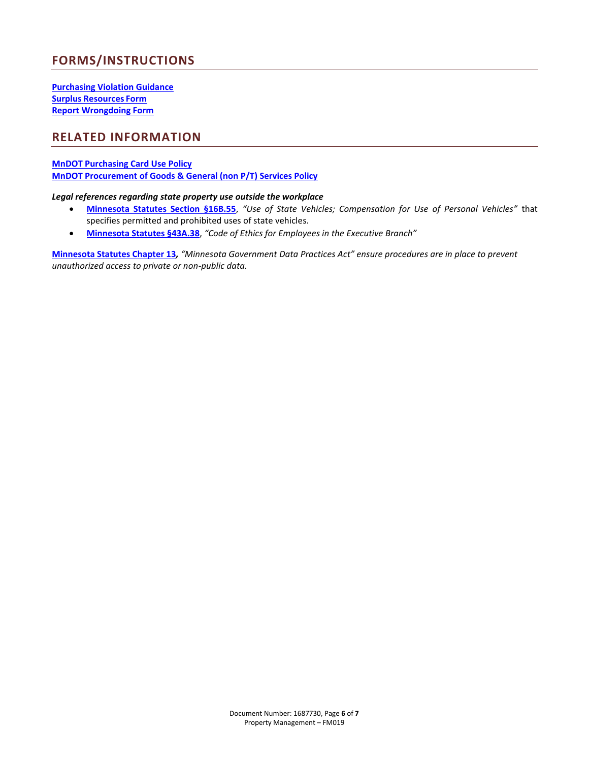# **FORMS/INSTRUCTIONS**

**[Purchasing Violation Guidance](http://dotapp7.dot.state.mn.us/cyberdocs_guest/quickstart.asp?show=view:1400783&noframes=yes) Surplus [Resources](http://mn.gov/admin/government/surplus-property/forms/) Form [Report Wrongdoing Form](http://ihub/audit/report_wrongdoing_form.php)**

# **RELATED INFORMATION**

#### **[MnDOT Purchasing Card Use Policy](http://www.dot.state.mn.us/policy/financial/fm013.html) [MnDOT Procurement of Goods & General \(non P/T\) Services Policy](http://www.dot.state.mn.us/policy/financial/fm017.html)**

#### *Legal references regarding state property use outside the workplace*

- **[Minnesota Statutes Section §16B.55](https://www.revisor.mn.gov/statutes/?id=16b.55)**, *"Use of State Vehicles; Compensation for Use of Personal Vehicles"* that specifies permitted and prohibited uses of state vehicles.
- **[Minnesota Statutes §43A.38](https://www.revisor.mn.gov/statutes/?id=43a.38)**, *"Code of Ethics for Employees in the Executive Branch"*

**[Minnesota Statutes Chapter 13](https://www.revisor.mn.gov/statutes/?id=13)***, "Minnesota Government Data Practices Act" ensure procedures are in place to prevent unauthorized access to private or non-public data.*